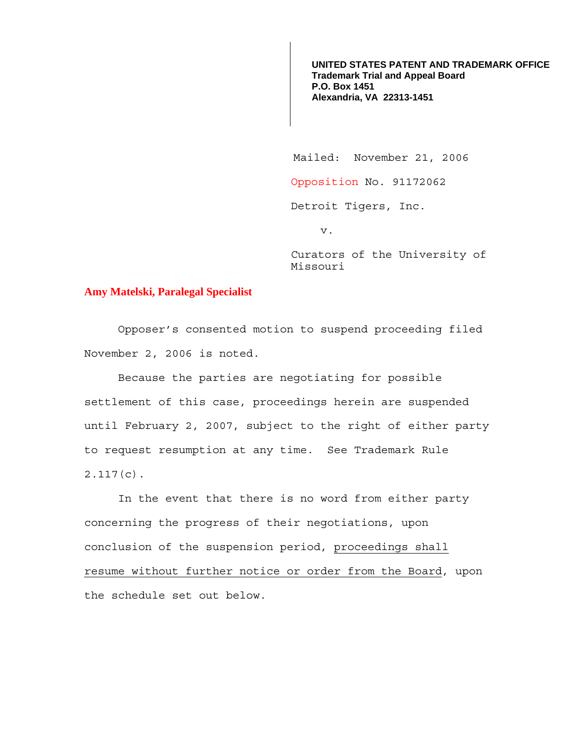**UNITED STATES PATENT AND TRADEMARK OFFICE Trademark Trial and Appeal Board P.O. Box 1451 Alexandria, VA 22313-1451**

Mailed: November 21, 2006

Opposition No. 91172062

Detroit Tigers, Inc.

v.

Curators of the University of Missouri

## **Amy Matelski, Paralegal Specialist**

 Opposer's consented motion to suspend proceeding filed November 2, 2006 is noted.

Because the parties are negotiating for possible settlement of this case, proceedings herein are suspended until February 2, 2007, subject to the right of either party to request resumption at any time. See Trademark Rule 2.117(c).

 In the event that there is no word from either party concerning the progress of their negotiations, upon conclusion of the suspension period, proceedings shall resume without further notice or order from the Board, upon the schedule set out below.